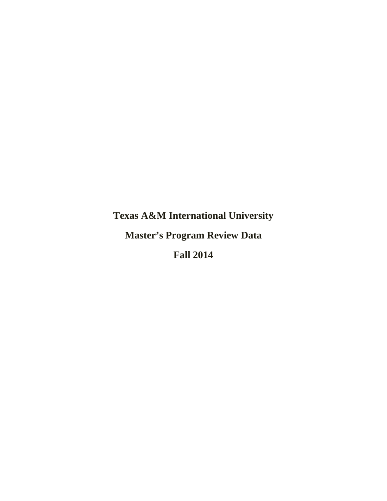**Texas A&M International University** 

**Master's Program Review Data** 

**Fall 2014**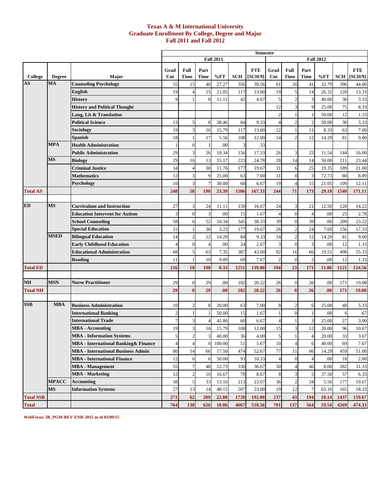### **Texas A & M International University Graduate Enrollment By College, Degree and Major Fall 2011 and Fall 2012**

|                  |               |                                              |                |                         |                |                  |            | <b>Semester</b> |                |                  |                |                  |            |              |
|------------------|---------------|----------------------------------------------|----------------|-------------------------|----------------|------------------|------------|-----------------|----------------|------------------|----------------|------------------|------------|--------------|
|                  |               |                                              |                |                         |                | <b>Fall 2011</b> |            |                 |                |                  |                | <b>Fall 2012</b> |            |              |
|                  |               |                                              | Grad           | Full                    | Part           |                  |            | <b>FTE</b>      | Grad           | Full             | Part           |                  |            | <b>FTE</b>   |
| College          | <b>Degree</b> | Major                                        | $_{\rm Cnt}$   | Time                    | <b>Time</b>    | %FT              | <b>SCH</b> | [SCH/9]         | $\mathbf{Cnt}$ | <b>Time</b>      | Time           | %FT              | <b>SCH</b> | [SCH/9]      |
| AS               | MA            | <b>Counseling Psychology</b>                 | 55             | 15                      | 40             | 27.27            | 356        | 39.56           | 61             | 20               | 41             | 32.79            | 396        | 44.00        |
|                  |               | English                                      | 19             |                         | 15             | 21.05            | 117        | 13.00           | 19             | 5                | 14             | 26.32            | 120        | 13.33        |
|                  |               | History                                      |                |                         | 8              | 11.11            | 42         | 4.67            | 5              | $\overline{2}$   | 3              | 40.00            | 30         | 3.33         |
|                  |               | <b>History and Political Thought</b>         |                |                         |                |                  |            |                 | 12             | 3                | 9              | 25.00            | 75         | 8.33         |
|                  |               | Lang, Lit & Translation                      |                |                         |                |                  |            |                 | 2              |                  |                | 50.00            | 12         | 1.33         |
|                  |               | <b>Political Science</b>                     | 13             | 5                       | 8              | 38.46            | 84         | 9.33            |                | $\overline{2}$   | $\overline{2}$ | 50.00            | 30         | 3.33         |
|                  |               | Sociology                                    | 19             |                         | 16             | 15.79            | 117        | 13.00           | 12             |                  | 11             | 8.33             | 63         | 7.00         |
|                  |               | Spanish                                      | 18             |                         | 17             | 5.56             | 108        | 12.00           | 14             | $\overline{2}$   | 12             | 14.29            | 81         | 9.00         |
|                  | <b>MPA</b>    | <b>Health Administration</b>                 |                | 0                       | 1              | .00              | 3          | .33             |                |                  |                |                  |            |              |
|                  |               | <b>Public Administration</b>                 | 29             | 3                       | 26             | 10.34            | 156        | 17.33           | 26             | 3                | 23             | 11.54            | 144        | 16.00        |
|                  | <b>MS</b>     | <b>Biology</b>                               | 29             | 16                      | 13             | 55.17            | 223        | 24.78           | 28             | 14               | 14             | 50.00            | 211        | 23.44        |
|                  |               | <b>Criminal Justice</b>                      | 34             | 4                       | 30             | 11.76            | 177        | 19.67           | 31             | 6                | 25             | 19.35            | 189        | 21.00        |
|                  |               | <b>Mathematics</b>                           | 12             | 3                       | 9              | 25.00            | 63         | 7.00            | 11             | 8                | 3              | 72.73            | 80         | 8.89         |
|                  |               | Psychology                                   | 10             | 3                       | $\overline{7}$ | 30.00            | 60         | 6.67            | 19             | $\overline{4}$   | 15             | 21.05            | 109        | 12.11        |
| <b>Total AS</b>  |               |                                              | 248            | 58                      | 190            | 23.39            | 1506       | 167.33          | 244            | 71               | 173            | 29.10            | 1540       | 171.11       |
|                  |               |                                              |                |                         |                |                  |            |                 |                |                  |                |                  |            |              |
| <b>ED</b>        | <b>MS</b>     | <b>Curriculum and Instruction</b>            | 27             | 3                       | 24             | 11.11            | 150        | 16.67           | 24             | 3                | 21             | 12.50            | 128        | 14.22        |
|                  |               | <b>Education Intervent for Autism</b>        | 3              | $\theta$                | 3              | .00              | 15         | 1.67            | $\overline{A}$ | $\mathbf{0}$     | $\overline{4}$ | .00              | 25         | 2.78         |
|                  |               | <b>School Counseling</b>                     | 58             | 6                       | 52             | 10.34            | 345        | 38.33           | 39             | $\overline{0}$   | 39             | .00              | 209        | 23.22        |
|                  |               | <b>Special Education</b>                     | 31             |                         | 30             | 3.23             | 177        | 19.67           | 26             | $\overline{2}$   | 24             | 7.69             | 156        | 17.33        |
|                  | <b>MSED</b>   | <b>Bilingual Education</b>                   | 14             | $\overline{c}$          | 12             | 14.29            | 84         | 9.33            | 14             | $\overline{c}$   | 12             | 14.29            | 81         | 9.00         |
|                  |               | Early Childhood Education                    | $\Delta$       | $\Omega$                | $\overline{4}$ | .00              | 24         | 2.67            | 3              | $\boldsymbol{0}$ | 3              | .00              | 12         | 1.33         |
|                  |               | <b>Educational Administration</b>            | 68             | 5                       | 63             | 7.35             | 387        | 43.00           | 82             | 16               | 66             | 19.51            | 498        | 55.33        |
|                  |               | Reading                                      | 11             |                         | 10             | 9.09             | 69         | 7.67            | $\overline{2}$ | $\mathbf{0}$     | $\overline{2}$ | .00              | 12         | 1.33         |
| <b>Total ED</b>  |               |                                              | 216            | 18                      | 198            | 8.33             | 1251       | 139.00          | 194            | 23               | 171            | 11.86            | 1121       | 124.56       |
|                  |               |                                              |                |                         |                |                  |            |                 |                |                  |                |                  |            |              |
| NH               | MSN           | <b>Nurse Practitioner</b>                    | 29             | $\overline{0}$          | 29             | .00              | 182        | 20.22           | 26             | $\mathbf{0}$     | 26             | .00              | 171        | 19.00        |
| <b>Total NH</b>  |               |                                              | 29             | $\bf{0}$                | 29             | .00              | 182        | 20.22           | 26             | $\bf{0}$         | 26             | .00              | 171        | <b>19.00</b> |
| <b>SSB</b>       | <b>MBA</b>    | <b>Business Administration</b>               | 10             |                         | 8              | 20.00            | 63         | 7.00            | 8              | $\overline{2}$   |                | 25.00            | 48         |              |
|                  |               | <b>International Banking</b>                 | $\mathfrak{D}$ |                         | -1             | 50.00            | 15         | 1.67            |                | $\mathbf{0}$     | 6              | .00              | 6          | 5.33<br>.67  |
|                  |               | International Trade                          |                | 3                       | $\overline{4}$ | 42.86            | 60         | 6.67            | $\overline{4}$ |                  | 3              | 25.00            | 27         | 3.00         |
|                  |               | <b>MBA</b> - Accounting                      | 19             | 3                       | 16             | 15.79            | 108        | 12.00           | 15             | 3                | 12             | 20.00            | 96         | 10.67        |
|                  |               | <b>MBA</b> - Information Systems             | $\mathbf{5}$   | $\overline{\mathbf{c}}$ | 3              | 40.00            | 36         | 4.00            | 5              | 11               | $\overline{a}$ | 20.00            | 33         | 3.67         |
|                  |               | <b>MBA</b> - International Banking & Finance |                | 4                       | $\overline{0}$ | 100.00           | $51\,$     | 5.67            | 10             | $\overline{4}$   | 6              | 40.00            | 69         | 7.67         |
|                  |               | <b>MBA - International Business Admin</b>    | 80             | 14                      | 66             | 17.50            | 474        | 52.67           | $77 \,$        | 11               | 66             | 14.29            | 459        | 51.00        |
|                  |               | <b>MBA</b> - International Finance           | 12             | 6                       | 6              | 50.00            | 93         | 10.33           | $\overline{4}$ | $\overline{0}$   | $\overline{4}$ | .00              | 18         | 2.00         |
|                  |               | <b>MBA</b> - Management                      | 55             | 7                       | 48             | 12.73            | 330        | 36.67           | 50             | $\overline{4}$   | 46             | 8.00             | 282        | 31.33        |
|                  |               | <b>MBA</b> - Marketing                       | 12             | $\overline{c}$          | 10             | 16.67            | 78         | 8.67            | 8              | 3                | 5              | 37.50            | 57         | 6.33         |
|                  | <b>MPACC</b>  | Accounting                                   | 38             | 5                       | 33             | 13.16            | 213        | 23.67           | 36             | $\mathbf{2}$     | 34             | 5.56             | 177        | 19.67        |
|                  | MS            | <b>Information Systems</b>                   | 27             | 13                      | 14             | 48.15            | 207        | 23.00           | 19             | 12               | $\overline{7}$ | 63.16            | 165        | 18.33        |
| <b>Total SSB</b> |               |                                              | 271            | 62                      | 209            | 22.88            | 1728       | 192.00          | 237            | 43               | 194            | 18.14            | 1437       | 159.67       |
| <b>Total</b>     |               |                                              | 764            | 138                     | 626            | 18.06            | 4667       | 518.56          | 701            | 137              | 564            | 19.54            | 4269       | 474.33       |

**WebFocus: IR\_PGM-REV-ENR-2015 as of 03/09/15**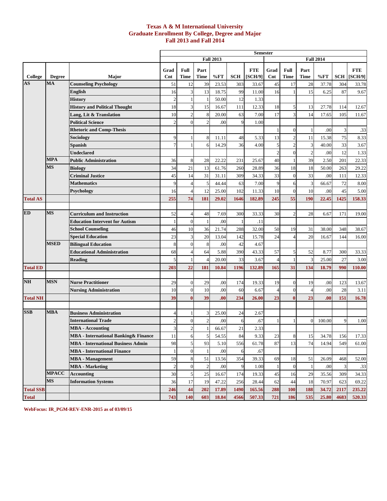### **Texas A & M International University Graduate Enrollment By College, Degree and Major Fall 2013 and Fall 2014**

|                  |               |                                           |                |                  |                |                  |            | <b>Semester</b>       |                |                     |                |                  |            |                       |
|------------------|---------------|-------------------------------------------|----------------|------------------|----------------|------------------|------------|-----------------------|----------------|---------------------|----------------|------------------|------------|-----------------------|
|                  |               |                                           |                |                  |                | <b>Fall 2013</b> |            |                       |                |                     |                | <b>Fall 2014</b> |            |                       |
| College          | <b>Degree</b> | Major                                     | Grad<br>Cnt    | Full<br>Time     | Part<br>Time   | %FT              | <b>SCH</b> | <b>FTE</b><br>[SCH/9] | Grad<br>Cnt    | Full<br><b>Time</b> | Part<br>Time   | %FT              | <b>SCH</b> | <b>FTE</b><br>[SCH/9] |
| AS               | MA            | <b>Counseling Psychology</b>              | 51             | 12               | 39             | 23.53            | 303        | 33.67                 | 45             | 17                  | 28             | 37.78            | 304        | 33.78                 |
|                  |               | English                                   | 16             | 3                | 13             | 18.75            | 99         | 11.00                 | 16             |                     | 15             | 6.25             | 87         | 9.67                  |
|                  |               | History                                   | $\overline{c}$ |                  |                | 50.00            | 12         | 1.33                  |                |                     |                |                  |            |                       |
|                  |               | <b>History and Political Thought</b>      | 18             | 3                | 15             | 16.67            | 111        | 12.33                 | 18             |                     | 13             | 27.78            | 114        | 12.67                 |
|                  |               | Lang, Lit & Translation                   | 10             | $\overline{2}$   | 8              | 20.00            | 63         | 7.00                  | 17             |                     | 14             | 17.65            | 105        | 11.67                 |
|                  |               | <b>Political Science</b>                  | $\mathfrak{D}$ | $\theta$         | $\overline{c}$ | .00              | 9          | 1.00                  |                |                     |                |                  |            |                       |
|                  |               | <b>Rhetoric and Comp-Thesis</b>           |                |                  |                |                  |            |                       |                | $\Omega$            | $\mathbf{1}$   | .00              |            | .33                   |
|                  |               | Sociology                                 | 9              |                  | 8              | 11.11            | 48         | 5.33                  | 13             |                     | 11             | 15.38            | 75         | 8.33                  |
|                  |               | Spanish                                   | 7              |                  | 6              | 14.29            | 36         | 4.00                  | 5              | 2                   | 3              | 40.00            | 33         | 3.67                  |
|                  |               | Undeclared                                |                |                  |                |                  |            |                       | $\overline{c}$ | $\mathbf{0}$        | $\overline{c}$ | .00              | 12         | 1.33                  |
|                  | <b>MPA</b>    | <b>Public Administration</b>              | 36             | 8                | 28             | 22.22            | 231        | 25.67                 | 40             |                     | 39             | 2.50             | 201        | 22.33                 |
|                  | <b>MS</b>     | <b>Biology</b>                            | 34             | 21               | 13             | 61.76            | 260        | 28.89                 | 36             | 18                  | 18             | 50.00            | 263        | 29.22                 |
|                  |               | <b>Criminal Justice</b>                   | 45             | 14               | 31             | 31.11            | 309        | 34.33                 | 33             | $\theta$            | 33             | .00              | 111        | 12.33                 |
|                  |               | <b>Mathematics</b>                        | 9              | $\overline{4}$   | 5              | 44.44            | 63         | 7.00                  | 9              | 6                   | 3              | 66.67            | 72         | 8.00                  |
|                  |               | Psychology                                | 16             | $\overline{4}$   | 12             | 25.00            | 102        | 11.33                 | 10             | $\theta$            | 10             | .00              | 45         | 5.00                  |
| <b>Total AS</b>  |               |                                           | 255            | 74               | 181            | 29.02            | 1646       | 182.89                | 245            | 55                  | 190            | 22.45            | 1425       | 158.33                |
|                  |               |                                           |                |                  |                |                  |            |                       |                |                     |                |                  |            |                       |
| <b>ED</b>        | MS            | <b>Curriculum and Instruction</b>         | 52             | $\overline{4}$   | 48             | 7.69             | 300        | 33.33                 | 30             | 1                   | 28             | 6.67             | 171        | 19.00                 |
|                  |               | <b>Education Intervent for Autism</b>     |                | $\mathbf{0}$     |                | .00              | -1         | .11                   |                |                     |                |                  |            |                       |
|                  |               | <b>School Counseling</b>                  | 46             | 10               | 36             | 21.74            | 288        | 32.00                 | 50             | 19                  | 31             | 38.00            | 348        | 38.67                 |
|                  |               | <b>Special Education</b>                  | 23             | 3                | 20             | 13.04            | 142        | 15.78                 | 24             |                     | 20             | 16.67            | 144        | 16.00                 |
|                  | <b>MSED</b>   | <b>Bilingual Education</b>                | 8              | $\boldsymbol{0}$ | 8              | .00              | 42         | 4.67                  |                |                     |                |                  |            |                       |
|                  |               | <b>Educational Administration</b>         | 68             | $\overline{4}$   | 64             | 5.88             | 390        | 43.33                 | 57             | 5                   | 52             | 8.77             | 300        | 33.33                 |
|                  |               | Reading                                   | 5              |                  |                | 20.00            | 33         | 3.67                  | 4              |                     | 3              | 25.00            | 27         | 3.00                  |
| <b>Total ED</b>  |               |                                           | 203            | 22               | 181            | 10.84            | 1196       | 132.89                | 165            | 31                  | 134            | 18.79            | 990        | 110.00                |
|                  |               |                                           |                |                  |                |                  |            |                       |                |                     |                |                  |            |                       |
| <b>NH</b>        | <b>MSN</b>    | <b>Nurse Practitioner</b>                 | 29             | $\overline{0}$   | 29             | .00              | 174        | 19.33                 | 19             | $\mathbf{0}$        | 19             | .00              | 123        | 13.67                 |
|                  |               | <b>Nursing Administration</b>             | 10             | $\overline{0}$   | 10             | .00              | 60         | 6.67                  | Δ              | $\theta$            | $\overline{4}$ | .00              | 28         | 3.11                  |
| <b>Total NH</b>  |               |                                           | 39             | $\bf{0}$         | 39             | .00              | 234        | 26.00                 | 23             | $\mathbf{0}$        | 23             | .00              | 151        | 16.78                 |
|                  |               |                                           |                |                  |                |                  |            |                       |                |                     |                |                  |            |                       |
| <b>SSB</b>       | <b>MBA</b>    | <b>Business Administration</b>            | 4              |                  | 3              | 25.00            | 24         | 2.67                  |                |                     |                |                  |            |                       |
|                  |               | <b>International Trade</b>                |                | $\overline{0}$   | $\overline{2}$ | .00              | 6          | .67                   |                |                     | $\overline{0}$ | 100.00           | Q          | 1.00                  |
|                  |               | MBA - Accounting                          | 3              | $\overline{2}$   |                | 66.67            | 21         | 2.33                  |                |                     |                |                  |            |                       |
|                  |               | MBA - International Banking & Finance     | <sup>11</sup>  | 6                | 5              | 54.55            | 84         | 9.33                  | 23             | 8                   | 15             | 34.78            | 156        | 17.33                 |
|                  |               | <b>MBA - International Business Admin</b> | 98             | $\sqrt{5}$       | 93             | 5.10             | 556        | 61.78                 | 87             | 13                  | 74             | 14.94            | 549        | 61.00                 |
|                  |               | <b>MBA</b> - International Finance        |                | $\mathbf{0}$     | $\mathbf{1}$   | .00              | 6          | .67                   |                |                     |                |                  |            |                       |
|                  |               | <b>MBA</b> - Management                   | 59             | $\,$ 8 $\,$      | 51             | 13.56            | 354        | 39.33                 | 69             | 18                  | 51             | 26.09            | 468        | 52.00                 |
|                  |               | <b>MBA</b> - Marketing                    | $\overline{c}$ | $\mathbf{0}$     | $\overline{c}$ | .00              | 9          | 1.00                  |                | $\theta$            | $\mathbf{1}$   | .00              |            | .33                   |
|                  | <b>MPACC</b>  | <b>Accounting</b>                         | 30             | 5                | 25             | 16.67            | 174        | 19.33                 | 45             | 16                  | 29             | 35.56            | 309        | 34.33                 |
|                  | MS            | <b>Information Systems</b>                | 36             | 17               | 19             | 47.22            | 256        | 28.44                 | 62             | 44                  | 18             | 70.97            | 623        | 69.22                 |
| <b>Total SSB</b> |               |                                           | 246            | 44               | 202            | 17.89            | 1490       | 165.56                | 288            | 100                 | 188            | 34.72            | 2117       | 235.22                |
| <b>Total</b>     |               |                                           | 743            | 140              | 603            | 18.84            | 4566       | 507.33                | 721            | 186                 | 535            | 25.80            | 4683       | 520.33                |

**WebFocus: IR\_PGM-REV-ENR-2015 as of 03/09/15**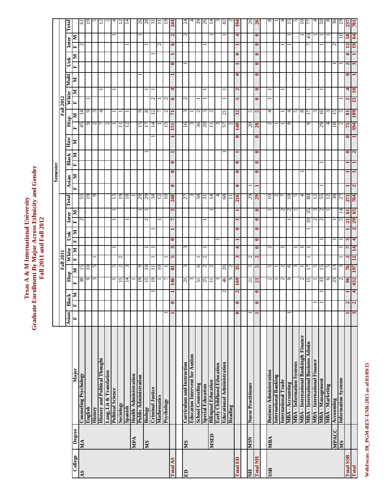WebFocus: IR\_PGM-REV-ENR-2015 as of 03/09/15 **WebFocus: IR\_PGM-REV-ENR-2015 as of 03/09/15**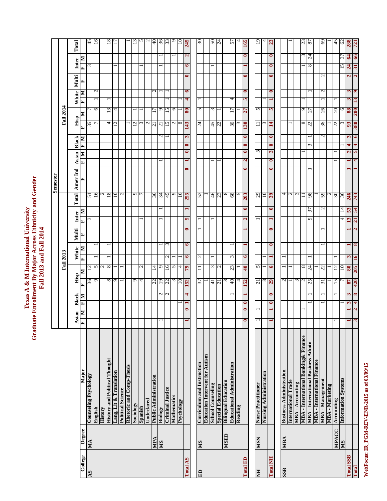# Texas A & M International University<br>Graduate Enrollment By Major Across Ethnicity and Gender<br>Fall 2013 and Fall 2014 **Graduate Enrollment By Major Across Ethnicity and Gender Texas A & M International University Fall 2013 and Fall 2014**

**Semester**

**Semester** 

|                  |              |                                       |                         |                          |                   | <b>Fall 2013</b>     |                        |                                     |                                             |           |                                   |                        |                          | <b>Fall 2014</b> |                   |                    |                           |                 |
|------------------|--------------|---------------------------------------|-------------------------|--------------------------|-------------------|----------------------|------------------------|-------------------------------------|---------------------------------------------|-----------|-----------------------------------|------------------------|--------------------------|------------------|-------------------|--------------------|---------------------------|-----------------|
|                  |              |                                       | sian                    | Black                    | Hisp              | White                | Multi                  | Inter                               | Total                                       | Amer Ind  | <b>Asian</b>                      | Black                  | Hisp                     |                  | White             | Multi              | Inter                     | Total           |
| College          | Degree       | Major                                 | Σ<br>≺  ≖               | Σ<br>Ĺ.                  | Σ<br>⋤            | E                    | Σ                      | Σ<br>E                              |                                             | ⋤         | Σ<br>⋤                            | Σ<br>E                 | E                        | ≅                | Σ                 |                    | ≅<br>E                    |                 |
| AS               | MA           | <b>Counseling Psychology</b>          |                         |                          | 36                | 12                   |                        | $\omega$                            | 51                                          |           |                                   |                        | 35                       |                  |                   |                    | $\omega$                  | 45              |
|                  |              | English                               |                         |                          | Ō                 |                      |                        |                                     |                                             |           |                                   |                        |                          | 6                | $\mathbf{c}$      |                    |                           | 16              |
|                  |              | History                               |                         |                          |                   | 2<br>S               |                        |                                     |                                             |           |                                   |                        |                          |                  |                   |                    |                           |                 |
|                  |              | <b>History and Political Thought</b>  |                         |                          | ${}^{\circ}$      | 8                    |                        |                                     | $\frac{16}{2}$ $\frac{8}{2}$ $\frac{12}{2}$ |           |                                   |                        | 4                        | 13               |                   |                    |                           | 18              |
|                  |              | Lang, Lit & Translation               |                         |                          | ۰                 |                      |                        |                                     |                                             |           |                                   |                        | $\mathbf 2$              | 4                |                   |                    |                           |                 |
|                  |              | Political Science                     |                         |                          |                   |                      |                        |                                     | $\mathbf{C}$                                |           |                                   |                        |                          |                  |                   |                    |                           |                 |
|                  |              | Rhetoric and Comp-Thesis              |                         |                          |                   |                      |                        |                                     |                                             |           |                                   |                        |                          |                  |                   |                    |                           |                 |
|                  |              | Sociology                             |                         |                          | ٥                 |                      |                        |                                     |                                             |           |                                   |                        | $\overline{\mathcal{C}}$ |                  |                   |                    |                           |                 |
|                  |              | Spanish                               |                         |                          | 4                 | $\overline{c}$       |                        |                                     | $\overline{2}$                              |           |                                   |                        | 3                        |                  |                   |                    |                           |                 |
|                  |              | Undeclared                            |                         |                          |                   |                      |                        |                                     |                                             |           |                                   |                        | $\sim$                   |                  |                   |                    |                           |                 |
|                  | VdM          | Public Administration                 |                         |                          | 22                | 14                   |                        |                                     | 36                                          |           |                                   |                        | $\overline{c}$           |                  | $\mathbf{\Omega}$ |                    |                           | 40              |
|                  | SM           | Biology                               |                         | $\sim$                   | 19                | 9                    |                        |                                     | 34                                          |           |                                   | N                      | $\overline{c}$           | Q                |                   |                    |                           | 36              |
|                  |              | <b>Criminal Justice</b>               |                         | $\overline{\mathcal{C}}$ | 22                | 91                   | ξ                      |                                     | 45                                          |           |                                   |                        | $^{15}$                  | 15               |                   |                    |                           | 33              |
|                  |              | Mathematics                           |                         |                          |                   | 5                    |                        |                                     | $\sigma$                                    |           |                                   |                        | N                        | 6                |                   |                    |                           |                 |
|                  |              | Psychology                            |                         |                          | $\supseteq$       | 4                    |                        |                                     | $\tilde{9}$                                 |           |                                   |                        | ${}^{\circ}$             |                  |                   |                    |                           |                 |
| <b>Total AS</b>  |              |                                       | $\bullet$               | 4                        | <b>IS2</b>        | 6<br>64              | $\bullet$<br>$\bullet$ | 5                                   | 255                                         | $\bullet$ | $\bullet$<br>$\blacksquare$       | 3<br>$\bullet$         | 143                      | 80               | $\mathbf{6}$<br>4 | $\bullet$          | $\mathbf{\tilde{z}}$<br>6 | 245             |
|                  |              |                                       |                         |                          |                   |                      |                        |                                     |                                             |           |                                   |                        |                          |                  |                   |                    |                           |                 |
| E <sub>D</sub>   | SM           | Curriculum and Instruction            |                         |                          | 77                | 5<br>$\Box$          |                        |                                     | 52                                          |           |                                   |                        | 24                       | 5                |                   |                    |                           | 30              |
|                  |              | <b>Education Intervent for Autism</b> |                         |                          |                   |                      |                        |                                     |                                             |           |                                   |                        |                          |                  |                   |                    |                           |                 |
|                  |              | <b>School Counseling</b>              |                         |                          | $\overline{4}$    | 3                    |                        |                                     | 46                                          |           |                                   |                        | 45                       | 3                |                   |                    |                           | $50\,$          |
|                  |              | <b>Special Education</b>              |                         |                          | $\overline{z}$    | $\sim$               |                        |                                     |                                             |           |                                   |                        | 22                       |                  |                   |                    |                           | $\overline{24}$ |
|                  | <b>GHSIN</b> | <b>Bilingual Education</b>            |                         |                          | ∞                 |                      |                        |                                     |                                             |           |                                   |                        |                          |                  |                   |                    |                           |                 |
|                  |              | <b>Educational Administration</b>     |                         |                          | 40                | $\omega$<br>23       |                        |                                     | $\frac{23}{8}$                              |           |                                   |                        | 36                       | 17               | 4                 |                    |                           | ৸               |
|                  |              | Reading                               |                         |                          | 4                 |                      |                        |                                     | 5                                           |           |                                   |                        | ω                        |                  |                   |                    |                           |                 |
| <b>Total ED</b>  |              |                                       | 0                       | =                        | <b>152</b>        | 6<br>$\overline{40}$ |                        | $\mathbf{z}$                        | 203<br>=                                    | =         | $\bullet$<br>$\mathbf{\tilde{c}}$ | $\bullet$<br>$\bullet$ | 130                      | 27               | $\bullet$<br>5    | 0                  | =<br>۳                    | 165             |
|                  |              |                                       |                         |                          |                   |                      |                        |                                     |                                             |           |                                   |                        |                          |                  |                   |                    |                           |                 |
| E                | <b>NSIV</b>  | <b>Nurse Practitioner</b>             |                         |                          | $\overline{21}$   | 5                    |                        |                                     | 67                                          |           | ξ                                 |                        | $\equiv$                 | 5                |                   |                    |                           | $\overline{5}$  |
|                  |              | Nursing Administration                |                         |                          | $^{\circ}$        |                      |                        |                                     | 10                                          |           |                                   |                        | ε                        |                  |                   |                    |                           |                 |
| <b>Total NH</b>  |              |                                       |                         | $\bullet$<br>$\bullet$   | 29                | 6                    | $\bullet$<br>$\bullet$ |                                     | 39<br>$\bullet$                             | $\bullet$ | $\mathfrak{g}$<br>$\bullet$       | $\bullet$<br>$\bullet$ | 14                       | 5                | $\bullet$         | $\bullet$          | $\bullet$<br>$\bullet$    | $\mathbf{z}$    |
|                  |              |                                       |                         |                          |                   |                      |                        |                                     |                                             |           |                                   |                        |                          |                  |                   |                    |                           |                 |
| SSB              | MBA          | <b>Business Administration</b>        |                         |                          | $\sim$            |                      |                        |                                     | 400                                         |           |                                   |                        |                          |                  |                   |                    |                           |                 |
|                  |              | International Trade                   |                         |                          |                   |                      |                        |                                     |                                             |           |                                   |                        |                          |                  |                   |                    |                           |                 |
|                  |              | MBA - Accounting                      |                         |                          | $\epsilon$        |                      |                        |                                     |                                             |           |                                   |                        |                          |                  |                   |                    |                           |                 |
|                  |              | MBA - International Banking & Finance |                         |                          | $\mathbf{\Omega}$ | 8                    |                        |                                     |                                             |           |                                   |                        | ${}^{\infty}$            | Q                |                   |                    | 3                         | 23              |
|                  |              | MBA - International Business Admin    |                         |                          | 57                | $\overline{24}$      |                        | 37<br>$\sigma$                      | 86                                          |           |                                   | 3                      | 22                       | 77               |                   |                    | 24<br>8                   | 78              |
|                  |              | <b>MBA</b> - International Finance    |                         |                          |                   |                      |                        |                                     |                                             |           |                                   |                        |                          |                  |                   |                    |                           |                 |
|                  |              | MBA-Management                        |                         |                          | 51                | 22                   |                        |                                     | 59<br>N                                     |           |                                   | N                      | 36                       | 26               | N                 | $\mathbf 2$        |                           | 69              |
|                  |              | <b>MBA</b> - Marketing                |                         |                          |                   |                      |                        |                                     |                                             |           |                                   |                        |                          |                  |                   |                    |                           |                 |
|                  | <b>MPACC</b> | Accounting                            |                         |                          | 15                | 12                   |                        |                                     | 05                                          |           |                                   |                        | 22                       | 20               |                   |                    |                           | 45              |
|                  | <b>NIS</b>   | <b>Information Systems</b>            |                         |                          |                   | $\overline{10}$      |                        | 4                                   | 36<br>$\overline{4}$                        |           |                                   |                        |                          | 6                |                   |                    | 37<br>15                  | 62              |
| <b>Total SSB</b> |              |                                       |                         | 3<br>ω                   | $\boldsymbol{87}$ | 80                   |                        | $\epsilon$ s<br>13                  | 246                                         |           | $\mathbf{\hat{z}}$                | ω<br>4                 | $\mathfrak{B}$           | 88               | 3<br>3            | $\mathbf{\hat{z}}$ | ड<br>$\overline{a}$       | 887             |
| Total            |              |                                       | $\overline{\mathbf{c}}$ | 8<br>4                   | 420               | <b>16</b><br>205     | $\infty$               | 54<br>21<br>$\overline{\mathbf{c}}$ | 743                                         |           | <b>in</b><br>4                    | 6<br>4                 | <b>08£</b>               | 13<br><b>200</b> | $\bullet$         | $\mathbf{z}$       | 66<br>31                  | 721             |

WebFocus: IR\_PGM-REV-ENR-2015 as of 03/09/15 **WebFocus: IR\_PGM-REV-ENR-2015 as of 03/09/15**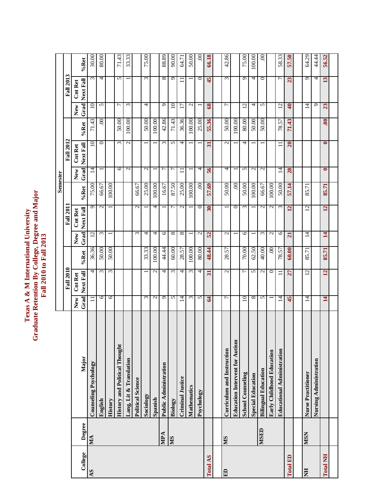# Texas A & M International University<br>Graduate Retention By College, Degree and Major<br>Fall 2010 to Fall 2013 **Graduate Retention By College, Degree and Major Texas A & M International University Fall 2010 to Fall 2013**

|                 |             |                                       |                |                             |           |                          |                             |                   | <b>Semester</b>          |                             |              |                   |                             |                         |
|-----------------|-------------|---------------------------------------|----------------|-----------------------------|-----------|--------------------------|-----------------------------|-------------------|--------------------------|-----------------------------|--------------|-------------------|-----------------------------|-------------------------|
|                 |             |                                       |                | <b>Fall 2010</b>            |           |                          | <b>Fall 2011</b>            |                   |                          | <b>Fall 2012</b>            |              |                   | <b>Fall 2013</b>            |                         |
| College         | Degree      | Major                                 | Grad<br>New    | Next Fall<br><b>Cnt Ret</b> | %Ret      | Grad<br>New              | Next Fall<br><b>Cnt Ret</b> | %Ret              | Grad<br>New              | Next Fall<br><b>Cnt Ret</b> | %Ret         | Grad<br>New       | Next Fall<br><b>Cnt Ret</b> | %Ret                    |
| AS              | MA          | Counseling Psychology                 |                | 4                           | 36.36     | $\overline{c}$           | $\sigma$                    | 75.00             | $\vec{a}$                | $\overline{10}$             | 71.43        | 10                | ω                           | 30.00                   |
|                 |             | English                               | 6              | $\epsilon$                  | 50.00     | $\epsilon$               | $\mathcal{L}$               | 66.67             |                          | $\circ$                     | $\mathbf{S}$ | S                 | 4                           | 80.00                   |
|                 |             | History                               | 6              | 3                           | 50.00     | $\overline{\phantom{0}}$ |                             | 100.00            |                          |                             |              |                   |                             |                         |
|                 |             | <b>History and Political Thought</b>  |                |                             |           |                          |                             |                   | 6                        | $\omega$                    | 50.00        | $\overline{ }$    | 5                           | .43<br>$\overline{7}$ . |
|                 |             | Lang, Lit & Translation               |                |                             |           |                          |                             |                   | $\mathcal{L}$            | $\mathcal{L}$               | 100.00       | $\omega$          |                             | 33.33                   |
|                 |             | <b>Political Science</b>              |                |                             |           | $\sim$                   | $\mathbf{\Omega}$           | 66.67             |                          |                             |              |                   |                             |                         |
|                 |             | Sociology                             | $\omega$       |                             | 33.33     | 4                        |                             | 25.00             | $\mathbf{c}$             |                             | 50.00        | 4                 | $\epsilon$                  | 75.00                   |
|                 |             | Spanish                               | $\sim$         | $\mathbf{C}$                | 100.00    | 4                        | 4                           | 100.00            | $\overline{\phantom{0}}$ |                             | 100.00       |                   |                             |                         |
|                 | MPA         | Public Administration                 | $\sigma$       | 4                           | 44.44     | $\circ$                  |                             | 16.67             | 7                        | $\omega$                    | 42.86        | ᠪ                 | ${}^{\infty}$               | 88.89                   |
|                 | <b>NIS</b>  | Biology                               | $\sim$         | $\omega$                    | 60.00     | $\infty$                 | $\overline{ }$              | 87.50             | $\overline{ }$           | S                           | 71.43        | $\overline{10}$   | ᡡ                           | 90.00                   |
|                 |             | <b>Criminal Justice</b>               | 4              | 4                           | 28.57     | ${}^{\circ}$             | $\mathcal{L}$               | 25.00             | $\equiv$                 | 4                           | 36.36        | $\overline{1}$    |                             | 64.71                   |
|                 |             | <b>Mathematics</b>                    | $\omega$       | $\omega$                    | 100.00    | $\overline{\phantom{0}}$ |                             | 100.00            |                          |                             | 100.00       | $\mathbf{C}$      |                             | 50.00                   |
|                 |             | Psychology                            | $\sim$         | 4                           | 80.00     | $\mathbf{\Omega}$        | $\circ$                     | $\mathcal{S}_{0}$ | 4                        |                             | 25.00        |                   | ○                           | S                       |
| Total AS        |             |                                       | $\mathbf{A}$   | $\overline{\mathbf{5}}$     | 48.44     | 52                       | $30\,$                      | 57.69             | $\mathbf{56}$            | $\overline{\mathbf{3}}$     | 55.36        | $\boldsymbol{68}$ | 45                          | 66.18                   |
|                 |             |                                       |                |                             |           |                          |                             |                   |                          |                             |              |                   |                             |                         |
| ED              | SM          | Curriculum and Instruction            | $\overline{ }$ | $\mathbf{C}$                | 57<br>28. | $\sim$                   |                             | 50.00             | 4                        | $\sim$                      | 50.00        | $\overline{ }$    | $\omega$                    | 42.86                   |
|                 |             | <b>Education Intervent for Autism</b> |                |                             |           |                          | $\circ$                     | $.00\,$           |                          |                             | 100.00       |                   |                             |                         |
|                 |             | <b>School Counseling</b>              | $10\,$         | $\overline{ }$              | 70.00     | $\circ$                  | $\omega$                    | 50.00             | 5                        | 4                           | 80.00        | $\overline{c}$    | ᡡ                           | 75.00                   |
|                 |             | <b>Special Education</b>              | ${}^{\circ}$   | 5                           | 62.50     | $\overline{ }$           |                             | 100.00            | $\mathcal{L}$            |                             | 50.00        | 4                 | 4                           | 100.00                  |
|                 | <b>MSED</b> | <b>Bilingual Education</b>            | $\sim$         | $\mathbf{C}$                | 40.00     | $\omega$                 | $\mathbf{C}$                | 66.67             | $\mathbf{C}$             |                             | 50.00        | 5                 | $\circ$                     | 00                      |
|                 |             | Early Childhood Education             |                | $\circ$                     | .00       | $\mathcal{L}$            | $\mathcal{L}$               | 100.00            |                          |                             |              |                   |                             |                         |
|                 |             | <b>Educational Administration</b>     | 그              | Ξ                           | 78.57     | $\circ$                  | $\mathfrak{c}$              | 50.00             | $\overline{4}$           |                             | 78.57        | 12                | $\overline{r}$              | 58.33                   |
| Total ED        |             |                                       | 45             | 27                          | 60.00     | $\overline{a}$           | $\overline{2}$              | 57.14             | 28                       | $\overline{20}$             | 71.43        | $\ddot{\bm{z}}$   | 23                          | 57.50                   |
|                 |             |                                       |                |                             |           |                          |                             |                   |                          |                             |              |                   |                             |                         |
| E               | <b>MSN</b>  | <b>Nurse Practitioner</b>             | $\vec{a}$      | $12 \,$                     | 85.71     | $\vec{a}$                | $12 \,$                     | 85.71             |                          |                             |              | $\vec{a}$         | $\sigma$                    | 64.29                   |
|                 |             | Nursing Administration                |                |                             |           |                          |                             |                   |                          |                             |              | Ō                 | 4                           | 44.44                   |
| <b>Total NH</b> |             |                                       | 14             | $\overline{12}$             | 85.71     | $\overline{14}$          | 12                          | 85.71             | $\bullet$                | $\bullet$                   | $\mathbf{5}$ | 23                | 13                          | 56.52                   |
|                 |             |                                       |                |                             |           |                          |                             |                   |                          |                             |              |                   |                             |                         |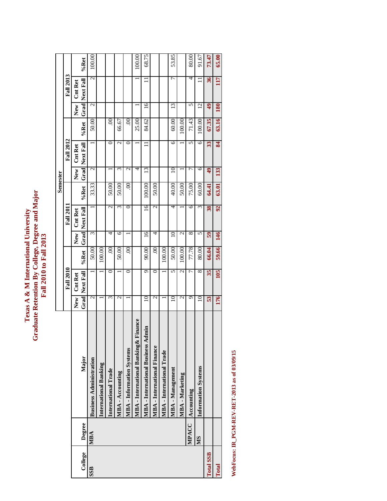# Texas A & M International University<br>Graduate Retention By College, Degree and Major<br>Fall 2010 to Fall 2013 **Graduate Retention By College, Degree and Major Texas A & M International University Fall 2010 to Fall 2013**

|                  |        |                                           |                          |                          |         |                          |                       |        | Semester         |                       |         |            |                       |        |
|------------------|--------|-------------------------------------------|--------------------------|--------------------------|---------|--------------------------|-----------------------|--------|------------------|-----------------------|---------|------------|-----------------------|--------|
|                  |        |                                           |                          | <b>Fall 2010</b>         |         |                          | <b>Fall 2011</b>      |        |                  | <b>Fall 2012</b>      |         |            | <b>Fall 2013</b>      |        |
|                  |        |                                           | New                      | <b>Cnt Ret</b>           |         | New<br>                  | <b>Cnt Ret</b>        |        | New              | <b>Cnt Ret</b>        |         | New        | <b>Cnt Ret</b>        |        |
| College          | Degree | Major                                     |                          | <b>Grad</b> Next Fall    | %Ret    |                          | <b>Grad</b> Next Fall | %Ret   |                  | <b>Grad</b> Next Fall | %Ret    |            | <b>Grad</b> Next Fall | %Ret   |
| SSB              | MBA    | <b>Business Administration</b>            | $\overline{\mathcal{C}}$ |                          | 50.00   | Σ                        |                       | 33.33  | N                |                       | 50.00   | 2          | $\mathcal{L}$         | 100.00 |
|                  |        | <b>International Banking</b>              |                          |                          | 100.00  |                          |                       |        |                  |                       |         |            |                       |        |
|                  |        | International Trade                       | 3                        | 0                        | $\odot$ | 4                        | $\mathbf{\sim}$       | 50.00  |                  |                       | $\circ$ |            |                       |        |
|                  |        | MBA - Accounting                          | $\mathcal{L}$            |                          | 50.00   | ७                        | ω                     | 50.00  | ω                | $\mathcal{L}$         | 66.67   |            |                       |        |
|                  |        | <b>MBA - Information Systems</b>          |                          | 0                        | S       |                          | $\circ$               | S      | $\mathrel{\sim}$ |                       | S.      |            |                       |        |
|                  |        | MBA - International Banking & Finance     |                          |                          |         |                          |                       |        | 4                |                       | 25.00   |            |                       | 100.00 |
|                  |        | <b>MBA</b> - International Business Admin | $10 \,$                  | ᡋ                        | 90.00   | $\overline{16}$          | $\overline{16}$       | 100.00 | 13               | $\Box$                | 84.62   | 16         | $\equiv$              | 68.75  |
|                  |        | <b>MBA</b> - International Finance        | $\mathcal{L}$            | ె                        | $\odot$ | 4                        | $\mathcal{L}$         | 50.00  |                  |                       |         |            |                       |        |
|                  |        | MBA - International Trade                 |                          |                          | 100.00  |                          |                       |        |                  |                       |         |            |                       |        |
|                  |        | MBA - Management                          | 10                       | 5                        | 50.00   | 10                       | 4                     | 40.00  | 10               | ١c                    | 60.00   | 13         | ᠇                     | 53.85  |
|                  |        | MBA - Marketing                           | $\mathcal{L}$            | $\overline{\mathcal{C}}$ | 100.00  | $\overline{\mathcal{C}}$ |                       | 50.00  |                  |                       | 100.00  |            |                       |        |
|                  | MPACC  | Accounting                                | ᡡ                        | ᡕ                        | 77.78   | ∞                        | 6                     | 75.00  | ŗ                | 5                     | 71.43   | 5          | 4                     | 80.00  |
|                  | SM     | <b>Information Systems</b>                | 10                       | 8                        | 80.00   | 5                        | ξ                     | 60.00  | 6                | 6                     | 100.00  | 12         | $\Box$                | 91.67  |
| <b>Total SSB</b> |        |                                           | 53                       | 35                       | 66.04   | $\overline{59}$          | 38                    | 64.41  | $\frac{4}{9}$    | 33                    | 67.35   | 49         | 36                    | 73.47  |
| Total            |        |                                           | 176                      | 105                      | 59.66   | 146                      | 92                    | 63.01  | 133              | 84                    | 63.16   | <b>180</b> | 117                   | 65.00  |

WebFocus: IR\_PGM-REV-RET-2013 as of 03/09/15 **WebFocus: IR\_PGM-REV-RET-2013 as of 03/09/15**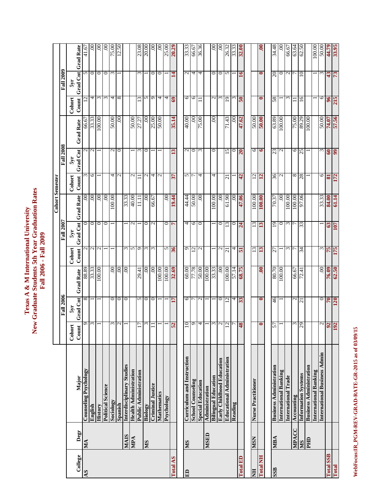|                  |              |                                   |                               |                  |                   |                          |                  |                       | <b>Cohort Semester</b> |                  |                   |                          |                  |                       |
|------------------|--------------|-----------------------------------|-------------------------------|------------------|-------------------|--------------------------|------------------|-----------------------|------------------------|------------------|-------------------|--------------------------|------------------|-----------------------|
|                  |              |                                   |                               | <b>Fall 2006</b> |                   |                          | <b>Fall 2007</b> |                       |                        | <b>Fall 2008</b> |                   |                          | <b>Fall 2009</b> |                       |
|                  |              |                                   | Cohort                        | $5y$ r           |                   | Cohort                   | $5y$ r           |                       | <b>Cohort</b>          | 5yr              |                   | Cohort                   | $5y$ r           |                       |
| College          | Degr         | Major                             | $\frac{1}{q}$<br>$_{\rm Com}$ | Grad Cnt         | <b>Grad Rate</b>  | Count                    |                  | Grad Cnt Grad Rate    | Count                  | Grad Cnt         | <b>Grad Rate</b>  | Count                    |                  | Grad Cnt Grad Rate    |
| AS               | МĄ           | <b>Counseling Psychology</b>      | ٥                             |                  | 88.89             |                          |                  | ຣຸ                    |                        |                  | 66.67             |                          |                  | 41.67                 |
|                  |              | English                           | $\omega$                      |                  | 33.33             |                          | $\circ$          | S                     | 6                      |                  |                   | 4                        | $\circ$          | 8                     |
|                  |              | <b>History</b>                    |                               |                  | 100.00            | $\mathbf 2$              | $\circ$          | $\infty$              |                        |                  | 100.00            | ξ                        | $\circ$          | 00.                   |
|                  |              | <b>Political Science</b>          |                               |                  |                   |                          | 0                | $\mathcal{S}_{\cdot}$ |                        |                  |                   | 3                        | $\circ$          | S.                    |
|                  |              | Sociology                         | 3                             | 0                | $\mathbf{S}$      |                          |                  | 100.00                | 4                      |                  | 50.00             | 4                        | $\epsilon$       | 75.00                 |
|                  |              | Spanish                           | $\sim$                        | ᅌ                | $\mathcal{O}$     |                          |                  |                       | $\mathbf{c}$           | ∾∣೦              | S.                | $\infty$                 |                  | 12.50                 |
|                  | <b>NIAIS</b> | Interdisciplinary Studies         |                               | $\circ$          | $\infty$          | $\epsilon$               |                  | 33.33                 |                        |                  |                   |                          |                  |                       |
|                  | MPA          | <b>Health Administration</b>      |                               |                  |                   | S                        | $\mathbf{\sim}$  | 40.00                 | $\mathcal{L}$          |                  | 50.00             |                          |                  |                       |
|                  |              | <b>Public Administration</b>      | $\overline{17}$               | 5                | 29.41             | C                        |                  | 111                   | $\Box$                 | ξ                | 27.27             | $\overline{13}$          | ω                | 23.08                 |
|                  | <b>NIS</b>   | Biology                           | $\epsilon$                    | $\circ$          | S                 | $\epsilon$               | ᅌ                | $\odot$               | $\mathbf{c}$           | $\circ$          | 60                | S                        |                  | 20.00                 |
|                  |              | <b>Criminal Justice</b>           |                               | 0                | 8                 | $\epsilon$               | $\mathcal{L}$    | 66.67                 | 4                      |                  | 25.00             | ٥                        | $\circ$          | $\mathcal{S}$         |
|                  |              | Mathematics                       |                               |                  | 100.00            |                          |                  |                       | $\overline{c}$         |                  | 50.00             | 4                        | $\circ$          | $\odot$               |
|                  |              | Psychology                        |                               |                  | 100.00            | 5                        | 0                | .00 <sub>1</sub>      |                        |                  |                   | 4                        |                  |                       |
| <b>Total AS</b>  |              |                                   | 52                            | 17               | 32.69             | 36                       | $\overline{ }$   | 19.44                 | $\mathfrak{L}$         | 13               | 35.14             | 69                       | $\mathbf{14}$    | $\frac{25.00}{20.29}$ |
|                  |              |                                   |                               |                  |                   |                          |                  |                       |                        |                  |                   |                          |                  |                       |
| E                | <b>NIS</b>   | <b>Curriculum and Instruction</b> | 01                            | 6                | 00:09             | $\sigma$                 | 4                | 44.44                 | 57                     | $\mathcal{L}$    | 40.00             | 6                        | $\sim$           | 33.33                 |
|                  |              | <b>School Counseling</b>          | $\mathbf 0$                   |                  | 81.75             | $\overline{c}$           | $\circ$          | 00:05                 |                        | $\circ$          | 60                | $\circ$                  | $\overline{4}$   | 66.67                 |
|                  |              | <b>Special Education</b>          | $\overline{P}$                | $\mathcal{L}$    | 50.00             | $\overline{\mathcal{C}}$ | $\circ$          | .00 <sub>1</sub>      | 4                      | $\epsilon$       | 75.00             |                          | 4                | 36.36                 |
|                  | MSED         | Administration                    |                               |                  | 100.00            |                          |                  |                       |                        |                  |                   |                          |                  |                       |
|                  |              | <b>Bilingual Education</b>        | $\epsilon$                    |                  | 33.33             |                          |                  | 100.00                | 4                      | 0                | $\mathcal{S}_{0}$ | $\mathcal{C}$            | 0                | S.                    |
|                  |              | Early Childhood Education         | $\overline{c}$                | 0                | $\mathcal{S}_{0}$ | $\mathbf 2$              | 0                | $\mathcal{S}_{0}$     |                        |                  |                   | $\epsilon$               | $\circ$          | $\mathcal{S}$         |
|                  |              | <b>Educational Administration</b> | 12                            | $\overline{c}$   | 100.00            | $\overline{\Omega}$      | $\overline{c}$   | 61.90                 | $\overline{c}$         | 15               | 71.43             | $\overline{9}$           | 5                | 26.32                 |
|                  |              | Reading                           |                               | 4                | 57.14             | 4                        | 0                | .00 <sub>1</sub>      |                        | $\circ$          | $\mathcal{S}$     | 3                        |                  | 33.33                 |
| <b>Total ED</b>  |              |                                   | 81                            | 33               | 68.75             | 51                       | $\overline{24}$  | 47.06                 | 42                     | $\overline{20}$  | 47.62             | $\overline{\mathbf{50}}$ | 16               | 32.00                 |
|                  |              |                                   |                               |                  |                   |                          |                  |                       |                        |                  |                   |                          |                  |                       |
| <b>HN</b>        | <b>NSW</b>   | Nurse Practitioner                |                               |                  |                   | 51                       | $\overline{13}$  | 100.00                | $12\,$                 | 6                | 50.00             |                          |                  |                       |
| <b>Total NH</b>  |              |                                   | $\bullet$                     | $\bullet$        | $.00\,$           | 13                       | 13               | 100.00                | 12                     | $\bullet$        | 00.05             | $\bullet$                | $\bullet$        | $\ddot{\bullet}$      |
|                  |              | <b>Business Administration</b>    | 57                            | 46               | 80.70             | 27                       | 19               | 70.37                 |                        | 23               | 63.89             | 58                       | $20\,$           | 34.48                 |
| SSB              | MBA          |                                   |                               |                  |                   |                          |                  |                       | $\frac{36}{2}$         |                  |                   |                          |                  |                       |
|                  |              | <b>International Banking</b>      |                               |                  | 00.001            |                          | 0                | $\mathcal{S}_{0}$     |                        | $\mathbf{C}$     | 00.001            |                          | $\circ$          | $\odot$               |
|                  |              | International Trade               |                               |                  |                   | 3                        | $\epsilon$       | 100.00                |                        |                  |                   | 3                        | $\sim$           | 66.67                 |
|                  | MPACC        | Accounting                        | $\epsilon$                    | $\mathcal{L}$    | 66.67             |                          |                  | 100.00                | 8                      | $\circ$          | 75.00             |                          |                  | 63.64                 |
|                  | <b>NIS</b>   | <b>Information Systems</b>        | 29                            | $\overline{c}$   | 72.41             | 34                       | 33               | 97.06                 | 28                     | 25               | 89.29             | $\overline{6}$           | $\overline{10}$  | 62.50                 |
|                  | PHD          | <b>Business Administration</b>    |                               |                  |                   |                          |                  |                       |                        |                  | 100.00            |                          |                  |                       |
|                  |              | <b>International Banking</b>      |                               |                  |                   |                          |                  |                       |                        |                  |                   |                          |                  | 100.00                |
|                  |              | International Business Admin      | $\mathcal{L}$                 | $\circ$          | S.                | Σ                        |                  | 33.33                 | 9                      |                  | 50.00             | 0                        | $\epsilon$       | 50.00                 |
| <b>Total SSB</b> |              |                                   | 92                            | <b>70</b><br>120 | 76.09             | 75                       | 63               | 84.00                 | $\mathbf{g}$           | $\circledcirc$   | 74.07             | $\frac{6}{5}$            | 43               | 44.79                 |
| Total            |              |                                   |                               |                  | 62.50             | 175                      | <b>LOT</b>       | 61.14                 | 772                    | 66               | 57.56             | 215                      | 73               | 33.95                 |

Texas A & M International University<br>New Graduate Students 5th Year Graduation Rates<br>Fall 2006 - Fall 2009 **New Graduate Students 5th Year Graduation Rates Texas A & M International University Fall 2006 - Fall 2009** 

WebFocus: IR\_PGM-REV-GRAD-RATE-GR-2015 as of 03/09/15 **WebFocus:IR\_PGM-REV-GRAD-RATE-GR-2015 as of 03/09/15**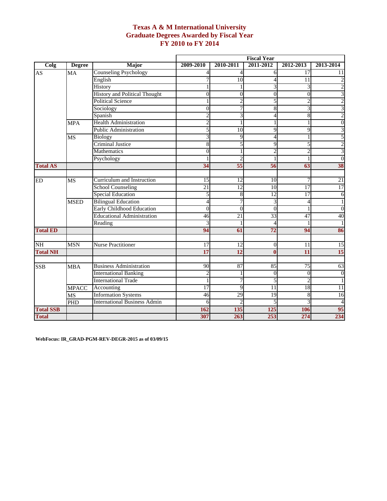## **Texas A & M International University Graduate Degrees Awarded by Fiscal Year FY 2010 to FY 2014**

|                  |               |                                      |                |                | <b>Fiscal Year</b> |                  |                         |
|------------------|---------------|--------------------------------------|----------------|----------------|--------------------|------------------|-------------------------|
| Colg             | <b>Degree</b> | Major                                | 2009-2010      | 2010-2011      | 2011-2012          | 2012-2013        | 2013-2014               |
| AS               | MA            | <b>Counseling Psychology</b>         |                | 4              | 6                  | $\overline{17}$  | 11                      |
|                  |               | English                              |                | 10             | 4                  | 11               | 2                       |
|                  |               | History                              |                |                | 3                  | 3                | $\overline{c}$          |
|                  |               | <b>History and Political Thought</b> | $\overline{0}$ | $\overline{0}$ | $\boldsymbol{0}$   | $\boldsymbol{0}$ | 3                       |
|                  |               | <b>Political Science</b>             |                |                | 5                  | 2                | $\overline{2}$          |
|                  |               | Sociology                            | 0              |                | 8                  | 3                | $\overline{\mathbf{3}}$ |
|                  |               | Spanish                              |                | 3              | 4                  | $\,$ 8 $\,$      | $\overline{2}$          |
|                  | <b>MPA</b>    | <b>Health Administration</b>         |                |                | 1                  | 1                | $\overline{0}$          |
|                  |               | Public Administration                | 5              | 10             | 9                  | 9                | 3                       |
|                  | MS            | Biology                              | 3              | 9              | 4                  | 1                | 5                       |
|                  |               | <b>Criminal Justice</b>              | 8              | 5              | $\overline{9}$     | 5                | $\overline{\mathbf{c}}$ |
|                  |               | <b>Mathematics</b>                   | $\theta$       |                | $\overline{c}$     | $\overline{2}$   | $\overline{3}$          |
|                  |               | Psychology                           |                | 2              | 1                  | 1                | $\overline{0}$          |
| <b>Total AS</b>  |               |                                      | 34             | 55             | 56                 | 63               | 38                      |
|                  |               |                                      |                |                |                    |                  |                         |
| ED               | <b>MS</b>     | Curriculum and Instruction           | 15             | 12             | 10                 | 7                | 21                      |
|                  |               | <b>School Counseling</b>             | 21             | 12             | 10                 | $\overline{17}$  | 17                      |
|                  |               | <b>Special Education</b>             | 5              | 8              | 12                 | $\overline{17}$  | 6                       |
|                  | <b>MSED</b>   | <b>Bilingual Education</b>           | $\overline{4}$ | 7              | 3                  | $\overline{4}$   | $\mathbf{1}$            |
|                  |               | Early Childhood Education            | $\theta$       | $\overline{0}$ | $\theta$           | 1                | $\overline{0}$          |
|                  |               | <b>Educational Administration</b>    | 46             | 21             | 33                 | 47               | 40                      |
|                  |               | Reading                              |                |                | 4                  | 1                | 1                       |
| <b>Total ED</b>  |               |                                      | 94             | 61             | 72                 | 94               | 86                      |
|                  |               |                                      |                |                |                    |                  |                         |
| NH               | <b>MSN</b>    | <b>Nurse Practitioner</b>            | 17             | 12             | $\mathbf{0}$       | 11               | 15                      |
| <b>Total NH</b>  |               |                                      | 17             | 12             | $\mathbf{0}$       | 11               | 15                      |
|                  |               |                                      |                |                |                    |                  |                         |
| <b>SSB</b>       | <b>MBA</b>    | <b>Business Administration</b>       | 90             | 87             | 85                 | 75               | 63                      |
|                  |               | <b>International Banking</b>         | $\overline{c}$ |                | $\Omega$           | $\Omega$         | $\overline{0}$          |
|                  |               | <b>International Trade</b>           |                |                | 5                  | $\overline{2}$   | $\mathbf{1}$            |
|                  | <b>MPACC</b>  | Accounting                           | 17             | 9              | 11                 | 18               | 11                      |
|                  | MS            | <b>Information Systems</b>           | 46             | 29             | 19                 | 8                | 16                      |
|                  | <b>PHD</b>    | <b>International Business Admin</b>  | 6              | っ              | 5                  | 3                | 4                       |
| <b>Total SSB</b> |               |                                      | 162            | 135            | 125                | 106              | 95                      |
| <b>Total</b>     |               |                                      | 307            | 263            | 253                | 274              | 234                     |

**WebFocus: IR\_GRAD-PGM-REV-DEGR-2015 as of 03/09/15**